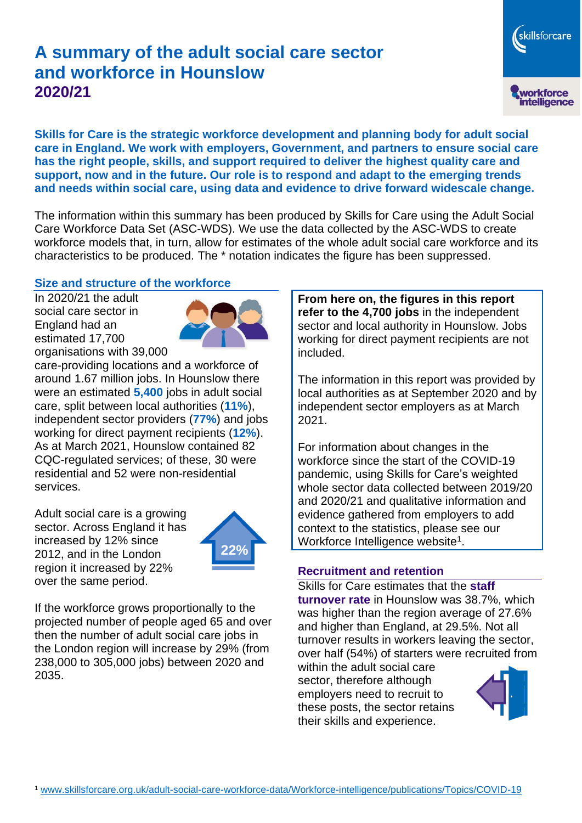# **A summary of the adult social care sector and workforce in Hounslow 2020/21**

workforce<br>intelligence

skillsforcare

**Skills for Care is the strategic workforce development and planning body for adult social care in England. We work with employers, Government, and partners to ensure social care has the right people, skills, and support required to deliver the highest quality care and support, now and in the future. Our role is to respond and adapt to the emerging trends and needs within social care, using data and evidence to drive forward widescale change.**

The information within this summary has been produced by Skills for Care using the Adult Social Care Workforce Data Set (ASC-WDS). We use the data collected by the ASC-WDS to create workforce models that, in turn, allow for estimates of the whole adult social care workforce and its characteristics to be produced. The \* notation indicates the figure has been suppressed.

#### **Size and structure of the workforce**

In 2020/21 the adult social care sector in England had an estimated 17,700 organisations with 39,000



care-providing locations and a workforce of around 1.67 million jobs. In Hounslow there were an estimated **5,400** jobs in adult social care, split between local authorities (**11%**), independent sector providers (**77%**) and jobs working for direct payment recipients (**12%**). As at March 2021, Hounslow contained 82 CQC-regulated services; of these, 30 were residential and 52 were non-residential services.

Adult social care is a growing sector. Across England it has increased by 12% since 2012, and in the London region it increased by 22% over the same period.



If the workforce grows proportionally to the projected number of people aged 65 and over then the number of adult social care jobs in the London region will increase by 29% (from 238,000 to 305,000 jobs) between 2020 and 2035.

**From here on, the figures in this report refer to the 4,700 jobs** in the independent sector and local authority in Hounslow. Jobs working for direct payment recipients are not included.

The information in this report was provided by local authorities as at September 2020 and by independent sector employers as at March 2021.

For information about changes in the workforce since the start of the COVID-19 pandemic, using Skills for Care's weighted whole sector data collected between 2019/20 and 2020/21 and qualitative information and evidence gathered from employers to add context to the statistics, please see our Workforce Intelligence website<sup>1</sup>.

#### **Recruitment and retention**

Skills for Care estimates that the **staff turnover rate** in Hounslow was 38.7%, which was higher than the region average of 27.6% and higher than England, at 29.5%. Not all turnover results in workers leaving the sector, over half (54%) of starters were recruited from

within the adult social care sector, therefore although employers need to recruit to these posts, the sector retains their skills and experience.

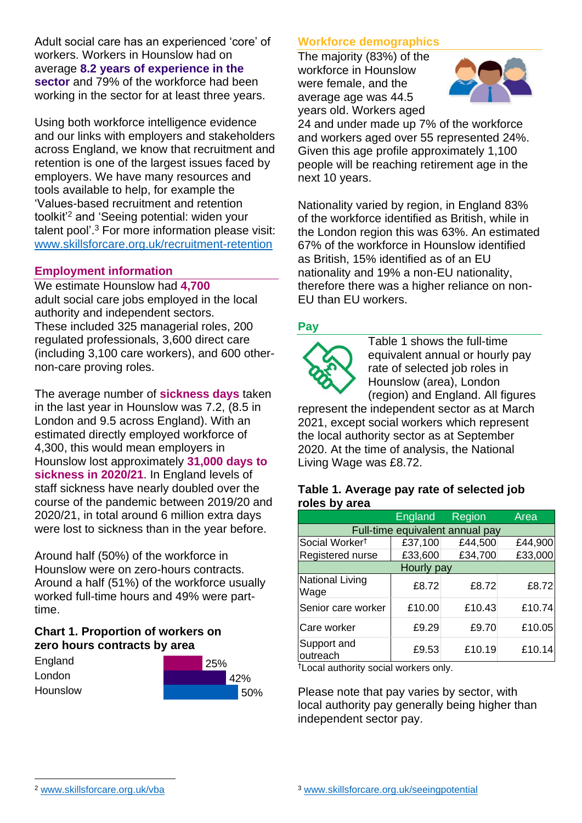Adult social care has an experienced 'core' of workers. Workers in Hounslow had on average **8.2 years of experience in the sector** and 79% of the workforce had been working in the sector for at least three years.

Using both workforce intelligence evidence and our links with employers and stakeholders across England, we know that recruitment and retention is one of the largest issues faced by employers. We have many resources and tools available to help, for example the 'Values-based recruitment and retention toolkit'<sup>2</sup> and 'Seeing potential: widen your talent pool'. <sup>3</sup> For more information please visit: [www.skillsforcare.org.uk/recruitment-retention](http://www.skillsforcare.org.uk/recruitment-retention)

#### **Employment information**

We estimate Hounslow had **4,700** adult social care jobs employed in the local authority and independent sectors. These included 325 managerial roles, 200 regulated professionals, 3,600 direct care (including 3,100 care workers), and 600 othernon-care proving roles.

The average number of **sickness days** taken in the last year in Hounslow was 7.2, (8.5 in London and 9.5 across England). With an estimated directly employed workforce of 4,300, this would mean employers in Hounslow lost approximately **31,000 days to sickness in 2020/21**. In England levels of staff sickness have nearly doubled over the course of the pandemic between 2019/20 and 2020/21, in total around 6 million extra days were lost to sickness than in the year before.

Around half (50%) of the workforce in Hounslow were on zero-hours contracts. Around a half (51%) of the workforce usually worked full-time hours and 49% were parttime.

### **Chart 1. Proportion of workers on zero hours contracts by area**

| England  | 25% |     |
|----------|-----|-----|
| London   |     | 42% |
| Hounslow |     | 50% |

### **Workforce demographics**

The majority (83%) of the workforce in Hounslow were female, and the average age was 44.5 years old. Workers aged



24 and under made up 7% of the workforce and workers aged over 55 represented 24%. Given this age profile approximately 1,100 people will be reaching retirement age in the next 10 years.

Nationality varied by region, in England 83% of the workforce identified as British, while in the London region this was 63%. An estimated 67% of the workforce in Hounslow identified as British, 15% identified as of an EU nationality and 19% a non-EU nationality, therefore there was a higher reliance on non-EU than EU workers.

### **Pay**



Table 1 shows the full-time equivalent annual or hourly pay rate of selected job roles in Hounslow (area), London (region) and England. All figures

represent the independent sector as at March 2021, except social workers which represent the local authority sector as at September 2020. At the time of analysis, the National Living Wage was £8.72.

#### **Table 1. Average pay rate of selected job roles by area**

|                                 | <b>England</b> | Region  | Area    |
|---------------------------------|----------------|---------|---------|
| Full-time equivalent annual pay |                |         |         |
| Social Worker <sup>†</sup>      | £37,100        | £44,500 | £44,900 |
| Registered nurse                | £33,600        | £34,700 | £33,000 |
| Hourly pay                      |                |         |         |
| National Living<br>Wage         | £8.72          | £8.72   | £8.72   |
| Senior care worker              | £10.00         | £10.43  | £10.74  |
| Care worker                     | £9.29          | £9.70   | £10.05  |
| Support and<br>outreach         | £9.53          | £10.19  | £10.14  |

†Local authority social workers only.

Please note that pay varies by sector, with local authority pay generally being higher than independent sector pay.